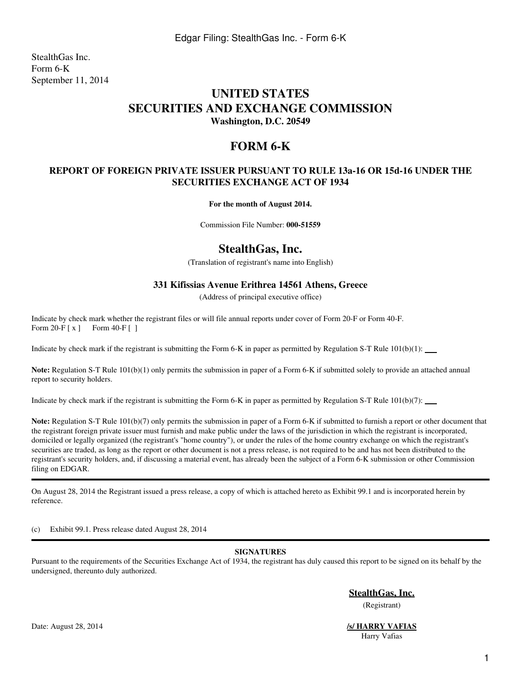StealthGas Inc. Form 6-K September 11, 2014

# **UNITED STATES SECURITIES AND EXCHANGE COMMISSION Washington, D.C. 20549**

# **FORM 6-K**

### **REPORT OF FOREIGN PRIVATE ISSUER PURSUANT TO RULE 13a-16 OR 15d-16 UNDER THE SECURITIES EXCHANGE ACT OF 1934**

**For the month of August 2014.**

Commission File Number: **000-51559**

## **StealthGas, Inc.**

(Translation of registrant's name into English)

### **331 Kifissias Avenue Erithrea 14561 Athens, Greece**

(Address of principal executive office)

Indicate by check mark whether the registrant files or will file annual reports under cover of Form 20-F or Form 40-F. Form 20-F [ x ] Form 40-F [ ]

Indicate by check mark if the registrant is submitting the Form 6-K in paper as permitted by Regulation S-T Rule  $101(b)(1)$ :

**Note:** Regulation S-T Rule 101(b)(1) only permits the submission in paper of a Form 6-K if submitted solely to provide an attached annual report to security holders.

Indicate by check mark if the registrant is submitting the Form 6-K in paper as permitted by Regulation S-T Rule  $101(b)(7)$ :

**Note:** Regulation S-T Rule 101(b)(7) only permits the submission in paper of a Form 6-K if submitted to furnish a report or other document that the registrant foreign private issuer must furnish and make public under the laws of the jurisdiction in which the registrant is incorporated, domiciled or legally organized (the registrant's "home country"), or under the rules of the home country exchange on which the registrant's securities are traded, as long as the report or other document is not a press release, is not required to be and has not been distributed to the registrant's security holders, and, if discussing a material event, has already been the subject of a Form 6-K submission or other Commission filing on EDGAR.

On August 28, 2014 the Registrant issued a press release, a copy of which is attached hereto as Exhibit 99.1 and is incorporated herein by reference.

(c) Exhibit 99.1. Press release dated August 28, 2014

#### **SIGNATURES**

Pursuant to the requirements of the Securities Exchange Act of 1934, the registrant has duly caused this report to be signed on its behalf by the undersigned, thereunto duly authorized.

**StealthGas, Inc.**

(Registrant)

Harry Vafias

Date: August 28, 2014 *<u>S/ HARRY VAFIAS</u>*